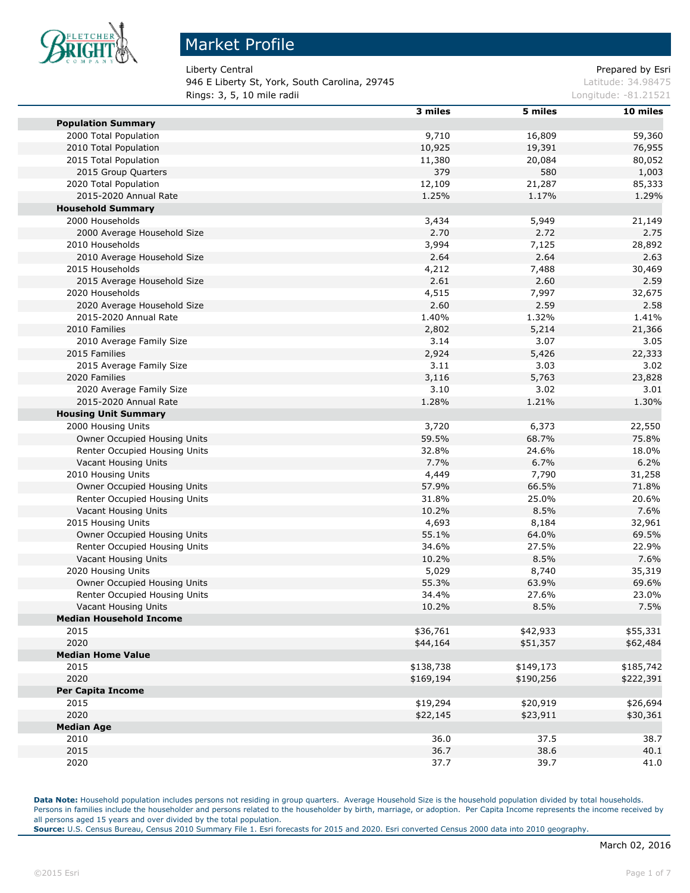

946 E Liberty St, York, South Carolina, 29745 Latitude: 34.98475 **Rings: 3, 5, 10 mile radii Longitude: -81.21521 Longitude: -81.21521** 

Liberty Central **Exercise 2** and the contral Prepared by Esri

|                                           | 3 miles       | 5 miles       | 10 miles  |
|-------------------------------------------|---------------|---------------|-----------|
| <b>Population Summary</b>                 |               |               |           |
| 2000 Total Population                     | 9,710         | 16,809        | 59,360    |
| 2010 Total Population                     | 10,925        | 19,391        | 76,955    |
| 2015 Total Population                     | 11,380        | 20,084        | 80,052    |
| 2015 Group Quarters                       | 379           | 580           | 1,003     |
| 2020 Total Population                     | 12,109        | 21,287        | 85,333    |
| 2015-2020 Annual Rate                     | 1.25%         | 1.17%         | 1.29%     |
| <b>Household Summary</b>                  |               |               |           |
| 2000 Households                           | 3,434         | 5,949         | 21,149    |
| 2000 Average Household Size               | 2.70          | 2.72          | 2.75      |
| 2010 Households                           | 3,994         | 7,125         | 28,892    |
| 2010 Average Household Size               | 2.64          | 2.64          | 2.63      |
| 2015 Households                           | 4,212         | 7,488         | 30,469    |
| 2015 Average Household Size               | 2.61          | 2.60          | 2.59      |
| 2020 Households                           | 4,515         | 7,997         | 32,675    |
| 2020 Average Household Size               | 2.60          | 2.59          | 2.58      |
| 2015-2020 Annual Rate                     | 1.40%         | 1.32%         | 1.41%     |
| 2010 Families                             | 2,802         | 5,214         | 21,366    |
|                                           | 3.14          | 3.07          | 3.05      |
| 2010 Average Family Size<br>2015 Families |               |               |           |
|                                           | 2,924<br>3.11 | 5,426<br>3.03 | 22,333    |
| 2015 Average Family Size                  |               |               | 3.02      |
| 2020 Families                             | 3,116         | 5,763         | 23,828    |
| 2020 Average Family Size                  | 3.10          | 3.02          | 3.01      |
| 2015-2020 Annual Rate                     | 1.28%         | 1.21%         | 1.30%     |
| <b>Housing Unit Summary</b>               |               |               |           |
| 2000 Housing Units                        | 3,720         | 6,373         | 22,550    |
| Owner Occupied Housing Units              | 59.5%         | 68.7%         | 75.8%     |
| Renter Occupied Housing Units             | 32.8%         | 24.6%         | 18.0%     |
| Vacant Housing Units                      | 7.7%          | 6.7%          | 6.2%      |
| 2010 Housing Units                        | 4,449         | 7,790         | 31,258    |
| Owner Occupied Housing Units              | 57.9%         | 66.5%         | 71.8%     |
| Renter Occupied Housing Units             | 31.8%         | 25.0%         | 20.6%     |
| Vacant Housing Units                      | 10.2%         | 8.5%          | 7.6%      |
| 2015 Housing Units                        | 4,693         | 8,184         | 32,961    |
| Owner Occupied Housing Units              | 55.1%         | 64.0%         | 69.5%     |
| Renter Occupied Housing Units             | 34.6%         | 27.5%         | 22.9%     |
| Vacant Housing Units                      | 10.2%         | 8.5%          | 7.6%      |
| 2020 Housing Units                        | 5,029         | 8,740         | 35,319    |
| Owner Occupied Housing Units              | 55.3%         | 63.9%         | 69.6%     |
| Renter Occupied Housing Units             | 34.4%         | 27.6%         | 23.0%     |
| Vacant Housing Units                      | 10.2%         | 8.5%          | 7.5%      |
| <b>Median Household Income</b>            |               |               |           |
| 2015                                      | \$36,761      | \$42,933      | \$55,331  |
| 2020                                      | \$44,164      | \$51,357      | \$62,484  |
| <b>Median Home Value</b>                  |               |               |           |
| 2015                                      | \$138,738     | \$149,173     | \$185,742 |
| 2020                                      | \$169,194     | \$190,256     | \$222,391 |
| <b>Per Capita Income</b>                  |               |               |           |
| 2015                                      | \$19,294      | \$20,919      | \$26,694  |
| 2020                                      | \$22,145      | \$23,911      | \$30,361  |
| <b>Median Age</b>                         |               |               |           |
| 2010                                      | 36.0          | 37.5          | 38.7      |
| 2015                                      | 36.7          | 38.6          | 40.1      |
| 2020                                      | 37.7          | 39.7          | 41.0      |
|                                           |               |               |           |

**Data Note:** Household population includes persons not residing in group quarters. Average Household Size is the household population divided by total households. Persons in families include the householder and persons related to the householder by birth, marriage, or adoption. Per Capita Income represents the income received by all persons aged 15 years and over divided by the total population.

**Source:** U.S. Census Bureau, Census 2010 Summary File 1. Esri forecasts for 2015 and 2020. Esri converted Census 2000 data into 2010 geography.

m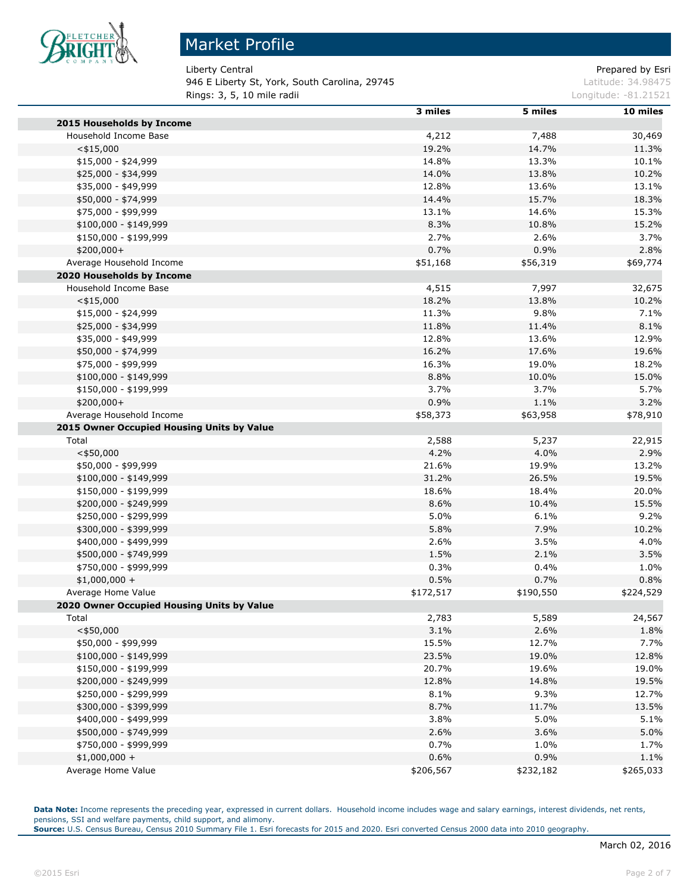

946 E Liberty St, York, South Carolina, 29745 Latitude: 34.98475 **Rings: 3, 5, 10 mile radii Longitude: -81.21521 Longitude: -81.21521** 

Liberty Central **Prepared by Esri** Prepared by Esri

|                                                | 3 miles   | 5 miles   | 10 miles  |
|------------------------------------------------|-----------|-----------|-----------|
| 2015 Households by Income                      |           |           |           |
| Household Income Base                          | 4,212     | 7,488     | 30,469    |
| $<$ \$15,000                                   | 19.2%     | 14.7%     | 11.3%     |
| $$15,000 - $24,999$                            | 14.8%     | 13.3%     | 10.1%     |
| \$25,000 - \$34,999                            | 14.0%     | 13.8%     | 10.2%     |
| \$35,000 - \$49,999                            | 12.8%     | 13.6%     | 13.1%     |
| \$50,000 - \$74,999                            | 14.4%     | 15.7%     | 18.3%     |
| \$75,000 - \$99,999                            | 13.1%     | 14.6%     | 15.3%     |
| $$100,000 - $149,999$                          | 8.3%      | 10.8%     | 15.2%     |
| \$150,000 - \$199,999                          | 2.7%      | 2.6%      | 3.7%      |
| \$200,000+                                     | 0.7%      | 0.9%      | 2.8%      |
| Average Household Income                       | \$51,168  | \$56,319  | \$69,774  |
| 2020 Households by Income                      |           |           |           |
| Household Income Base                          | 4,515     | 7,997     | 32,675    |
| $<$ \$15,000                                   | 18.2%     | 13.8%     | 10.2%     |
| \$15,000 - \$24,999                            | 11.3%     | 9.8%      | 7.1%      |
| \$25,000 - \$34,999                            | 11.8%     | 11.4%     | 8.1%      |
| \$35,000 - \$49,999                            | 12.8%     | 13.6%     | 12.9%     |
| \$50,000 - \$74,999                            | 16.2%     | 17.6%     | 19.6%     |
| \$75,000 - \$99,999                            | 16.3%     | 19.0%     | 18.2%     |
| $$100,000 - $149,999$                          | 8.8%      | 10.0%     | 15.0%     |
| \$150,000 - \$199,999                          | 3.7%      | 3.7%      | 5.7%      |
| \$200,000+                                     | 0.9%      | 1.1%      | 3.2%      |
| Average Household Income                       | \$58,373  | \$63,958  | \$78,910  |
| 2015 Owner Occupied Housing Units by Value     |           |           |           |
| Total                                          | 2,588     | 5,237     | 22,915    |
| $<$ \$50,000                                   | 4.2%      | 4.0%      | 2.9%      |
| \$50,000 - \$99,999                            | 21.6%     | 19.9%     | 13.2%     |
| $$100,000 - $149,999$                          | 31.2%     | 26.5%     | 19.5%     |
| \$150,000 - \$199,999                          | 18.6%     | 18.4%     | 20.0%     |
|                                                | 8.6%      | 10.4%     | 15.5%     |
| \$200,000 - \$249,999<br>\$250,000 - \$299,999 | 5.0%      | 6.1%      | 9.2%      |
|                                                |           |           |           |
| \$300,000 - \$399,999                          | 5.8%      | 7.9%      | 10.2%     |
| \$400,000 - \$499,999                          | 2.6%      | 3.5%      | 4.0%      |
| \$500,000 - \$749,999                          | 1.5%      | 2.1%      | 3.5%      |
| \$750,000 - \$999,999                          | 0.3%      | 0.4%      | 1.0%      |
| $$1,000,000 +$                                 | 0.5%      | 0.7%      | 0.8%      |
| Average Home Value                             | \$172,517 | \$190,550 | \$224,529 |
| 2020 Owner Occupied Housing Units by Value     |           |           |           |
| Total                                          | 2,783     | 5,589     | 24,567    |
| $<$ \$50,000                                   | 3.1%      | 2.6%      | 1.8%      |
| \$50,000 - \$99,999                            | 15.5%     | 12.7%     | 7.7%      |
| $$100,000 - $149,999$                          | 23.5%     | 19.0%     | 12.8%     |
| \$150,000 - \$199,999                          | 20.7%     | 19.6%     | 19.0%     |
| \$200,000 - \$249,999                          | 12.8%     | 14.8%     | 19.5%     |
| \$250,000 - \$299,999                          | 8.1%      | 9.3%      | 12.7%     |
| \$300,000 - \$399,999                          | 8.7%      | 11.7%     | 13.5%     |
| \$400,000 - \$499,999                          | 3.8%      | 5.0%      | 5.1%      |
| \$500,000 - \$749,999                          | 2.6%      | 3.6%      | 5.0%      |
| \$750,000 - \$999,999                          | 0.7%      | 1.0%      | 1.7%      |
| $$1,000,000 +$                                 | 0.6%      | 0.9%      | 1.1%      |
| Average Home Value                             | \$206,567 | \$232,182 | \$265,033 |

Data Note: Income represents the preceding year, expressed in current dollars. Household income includes wage and salary earnings, interest dividends, net rents, pensions, SSI and welfare payments, child support, and alimony.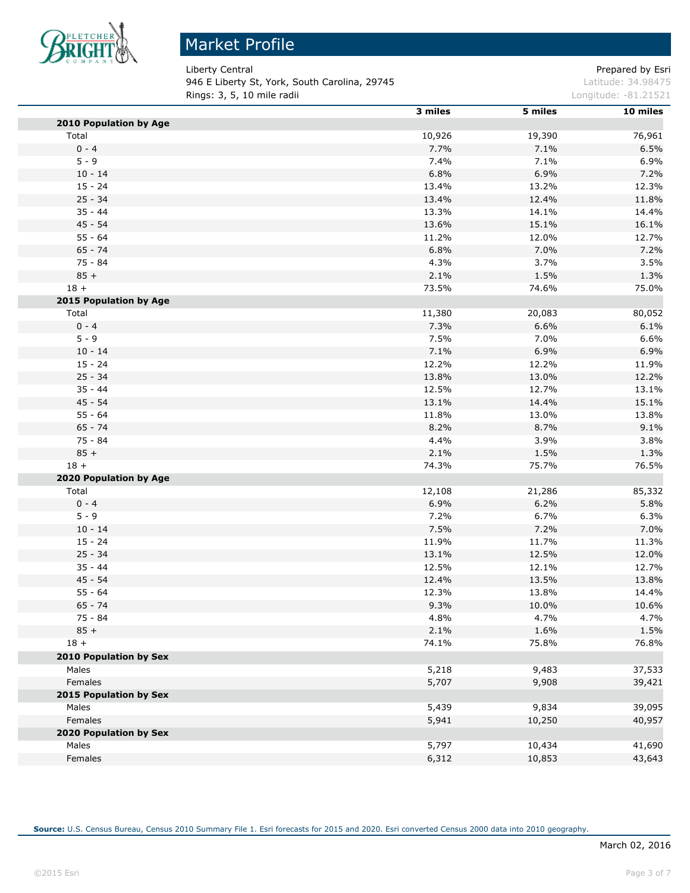

Liberty Central **Prepared by Esri** 946 E Liberty St, York, South Carolina, 29745 Material State State State State Latitude: 34.98475 **Rings: 3, 5, 10 mile radii Longitude: -81.21521** 

|                               | 3 miles | 5 miles | 10 miles |
|-------------------------------|---------|---------|----------|
| 2010 Population by Age        |         |         |          |
| Total                         | 10,926  | 19,390  | 76,961   |
| $0 - 4$                       | 7.7%    | 7.1%    | 6.5%     |
| $5 - 9$                       | 7.4%    | 7.1%    | 6.9%     |
| $10 - 14$                     | 6.8%    | 6.9%    | 7.2%     |
| $15 - 24$                     | 13.4%   | 13.2%   | 12.3%    |
| $25 - 34$                     | 13.4%   | 12.4%   | 11.8%    |
| $35 - 44$                     | 13.3%   | 14.1%   | 14.4%    |
| $45 - 54$                     | 13.6%   | 15.1%   | 16.1%    |
| $55 - 64$                     | 11.2%   | 12.0%   | 12.7%    |
| $65 - 74$                     | 6.8%    | 7.0%    | 7.2%     |
| $75 - 84$                     | 4.3%    | 3.7%    | 3.5%     |
| $85 +$                        | 2.1%    | 1.5%    | 1.3%     |
| $18 +$                        | 73.5%   | 74.6%   | 75.0%    |
| 2015 Population by Age        |         |         |          |
| Total                         | 11,380  | 20,083  | 80,052   |
| $0 - 4$                       | 7.3%    | 6.6%    | 6.1%     |
| $5 - 9$                       | 7.5%    | 7.0%    | 6.6%     |
| $10 - 14$                     | 7.1%    | 6.9%    | 6.9%     |
| $15 - 24$                     | 12.2%   | 12.2%   | 11.9%    |
| $25 - 34$                     | 13.8%   | 13.0%   | 12.2%    |
| $35 - 44$                     | 12.5%   | 12.7%   | 13.1%    |
| $45 - 54$                     | 13.1%   | 14.4%   | 15.1%    |
| $55 - 64$                     | 11.8%   | 13.0%   | 13.8%    |
| $65 - 74$                     | 8.2%    | 8.7%    | 9.1%     |
| 75 - 84                       | 4.4%    | 3.9%    | 3.8%     |
| $85 +$                        | 2.1%    | 1.5%    | 1.3%     |
| $18 +$                        | 74.3%   | 75.7%   | 76.5%    |
| 2020 Population by Age        |         |         |          |
| Total                         | 12,108  | 21,286  | 85,332   |
| $0 - 4$                       | 6.9%    | 6.2%    | 5.8%     |
| $5 - 9$                       | 7.2%    | 6.7%    | 6.3%     |
| $10 - 14$                     | 7.5%    | 7.2%    | 7.0%     |
| $15 - 24$                     | 11.9%   | 11.7%   | 11.3%    |
| $25 - 34$                     | 13.1%   | 12.5%   | 12.0%    |
| $35 - 44$                     | 12.5%   | 12.1%   | 12.7%    |
| $45 - 54$                     | 12.4%   | 13.5%   | 13.8%    |
| $55 - 64$                     | 12.3%   | 13.8%   | 14.4%    |
| $65 - 74$                     | 9.3%    | 10.0%   | 10.6%    |
| $75 - 84$                     | 4.8%    | 4.7%    | 4.7%     |
| $85 +$                        | 2.1%    | 1.6%    | 1.5%     |
| $18 +$                        | 74.1%   | 75.8%   | 76.8%    |
| <b>2010 Population by Sex</b> |         |         |          |
| Males                         | 5,218   | 9,483   | 37,533   |
| Females                       | 5,707   | 9,908   | 39,421   |
| 2015 Population by Sex        |         |         |          |
| Males                         | 5,439   | 9,834   | 39,095   |
| Females                       | 5,941   | 10,250  | 40,957   |
| 2020 Population by Sex        |         |         |          |
| Males                         | 5,797   | 10,434  | 41,690   |
| Females                       | 6,312   | 10,853  | 43,643   |
|                               |         |         |          |

**Source:** U.S. Census Bureau, Census 2010 Summary File 1. Esri forecasts for 2015 and 2020. Esri converted Census 2000 data into 2010 geography.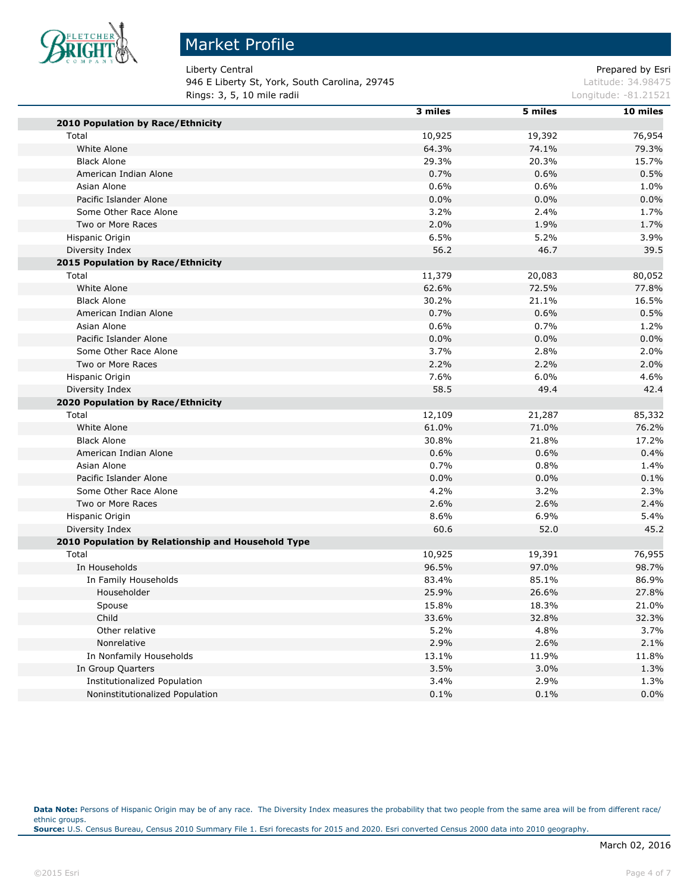

# Market Profile

Liberty Central **Prepared by Esri** Prepared by Esri

946 E Liberty St, York, South Carolina, 29745 Latitude: 34.98475 **Rings: 3, 5, 10 mile radii Longitude: -81.21521 Longitude: -81.21521** 

|                                                    | 3 miles | 5 miles | 10 miles |
|----------------------------------------------------|---------|---------|----------|
| 2010 Population by Race/Ethnicity                  |         |         |          |
| Total                                              | 10,925  | 19,392  | 76,954   |
| White Alone                                        | 64.3%   | 74.1%   | 79.3%    |
| <b>Black Alone</b>                                 | 29.3%   | 20.3%   | 15.7%    |
| American Indian Alone                              | 0.7%    | 0.6%    | 0.5%     |
| Asian Alone                                        | 0.6%    | 0.6%    | 1.0%     |
| Pacific Islander Alone                             | $0.0\%$ | 0.0%    | 0.0%     |
| Some Other Race Alone                              | 3.2%    | 2.4%    | 1.7%     |
| Two or More Races                                  | 2.0%    | 1.9%    | 1.7%     |
| Hispanic Origin                                    | 6.5%    | 5.2%    | 3.9%     |
| Diversity Index                                    | 56.2    | 46.7    | 39.5     |
| 2015 Population by Race/Ethnicity                  |         |         |          |
| Total                                              | 11,379  | 20,083  | 80,052   |
| White Alone                                        | 62.6%   | 72.5%   | 77.8%    |
| <b>Black Alone</b>                                 | 30.2%   | 21.1%   | 16.5%    |
| American Indian Alone                              | 0.7%    | 0.6%    | 0.5%     |
| Asian Alone                                        | 0.6%    | 0.7%    | 1.2%     |
| Pacific Islander Alone                             | 0.0%    | 0.0%    | 0.0%     |
| Some Other Race Alone                              | 3.7%    | 2.8%    | 2.0%     |
| Two or More Races                                  | 2.2%    | 2.2%    | 2.0%     |
| Hispanic Origin                                    | 7.6%    | 6.0%    | 4.6%     |
| Diversity Index                                    | 58.5    | 49.4    | 42.4     |
| 2020 Population by Race/Ethnicity                  |         |         |          |
| Total                                              | 12,109  | 21,287  | 85,332   |
| White Alone                                        | 61.0%   | 71.0%   | 76.2%    |
| <b>Black Alone</b>                                 | 30.8%   | 21.8%   | 17.2%    |
| American Indian Alone                              | 0.6%    | 0.6%    | 0.4%     |
| Asian Alone                                        | 0.7%    | 0.8%    | 1.4%     |
| Pacific Islander Alone                             | 0.0%    | 0.0%    | 0.1%     |
| Some Other Race Alone                              | 4.2%    | 3.2%    | 2.3%     |
| Two or More Races                                  | 2.6%    | 2.6%    | 2.4%     |
| Hispanic Origin                                    | 8.6%    | 6.9%    | 5.4%     |
| Diversity Index                                    | 60.6    | 52.0    | 45.2     |
| 2010 Population by Relationship and Household Type |         |         |          |
| Total                                              | 10,925  | 19,391  | 76,955   |
| In Households                                      | 96.5%   | 97.0%   | 98.7%    |
| In Family Households                               | 83.4%   | 85.1%   | 86.9%    |
| Householder                                        | 25.9%   | 26.6%   | 27.8%    |
| Spouse                                             | 15.8%   | 18.3%   | 21.0%    |
| Child                                              | 33.6%   | 32.8%   | 32.3%    |
| Other relative                                     | 5.2%    | 4.8%    | 3.7%     |
| Nonrelative                                        | 2.9%    | 2.6%    | 2.1%     |
| In Nonfamily Households                            | 13.1%   | 11.9%   | 11.8%    |
| In Group Quarters                                  | 3.5%    | 3.0%    | 1.3%     |
| Institutionalized Population                       | 3.4%    | 2.9%    | 1.3%     |
| Noninstitutionalized Population                    | 0.1%    | 0.1%    | 0.0%     |

Data Note: Persons of Hispanic Origin may be of any race. The Diversity Index measures the probability that two people from the same area will be from different race/ ethnic groups. **Source:** U.S. Census Bureau, Census 2010 Summary File 1. Esri forecasts for 2015 and 2020. Esri converted Census 2000 data into 2010 geography.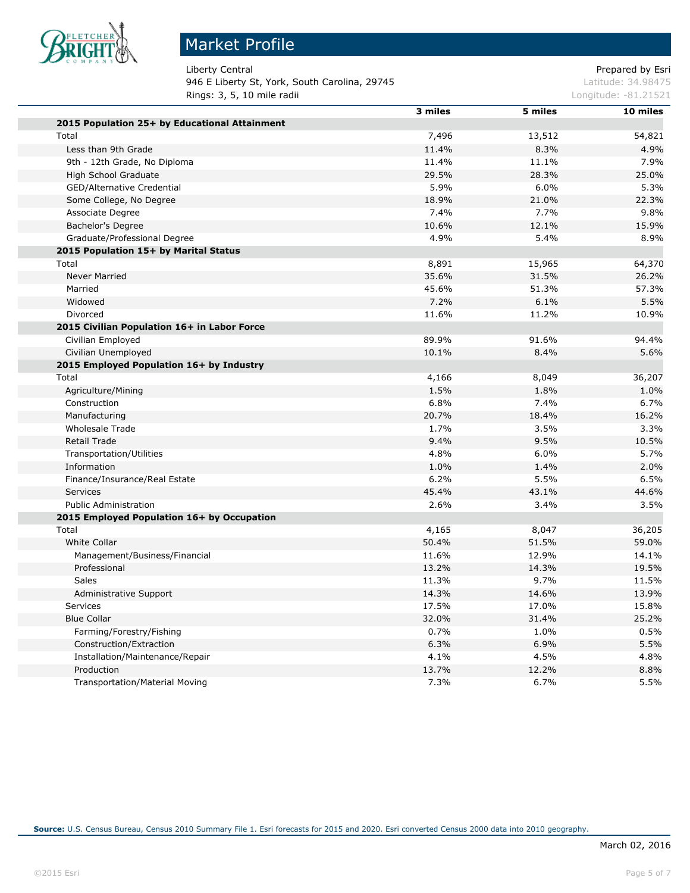

# Market Profile

Liberty Central **Prepared by Esri** Prepared by Esri 946 E Liberty St, York, South Carolina, 29745 Latitude: 34.98475 **Rings: 3, 5, 10 mile radii Longitude: -81.21521 Longitude: -81.21521** 

|                                               | 3 miles | 5 miles | 10 miles |
|-----------------------------------------------|---------|---------|----------|
| 2015 Population 25+ by Educational Attainment |         |         |          |
| Total                                         | 7,496   | 13,512  | 54,821   |
| Less than 9th Grade                           | 11.4%   | 8.3%    | 4.9%     |
| 9th - 12th Grade, No Diploma                  | 11.4%   | 11.1%   | 7.9%     |
| High School Graduate                          | 29.5%   | 28.3%   | 25.0%    |
| GED/Alternative Credential                    | 5.9%    | 6.0%    | 5.3%     |
| Some College, No Degree                       | 18.9%   | 21.0%   | 22.3%    |
| Associate Degree                              | 7.4%    | 7.7%    | 9.8%     |
| Bachelor's Degree                             | 10.6%   | 12.1%   | 15.9%    |
| Graduate/Professional Degree                  | 4.9%    | 5.4%    | 8.9%     |
| 2015 Population 15+ by Marital Status         |         |         |          |
| Total                                         | 8,891   | 15,965  | 64,370   |
| <b>Never Married</b>                          | 35.6%   | 31.5%   | 26.2%    |
| Married                                       | 45.6%   | 51.3%   | 57.3%    |
| Widowed                                       | 7.2%    | 6.1%    | 5.5%     |
| Divorced                                      | 11.6%   | 11.2%   | 10.9%    |
| 2015 Civilian Population 16+ in Labor Force   |         |         |          |
| Civilian Employed                             | 89.9%   | 91.6%   | 94.4%    |
| Civilian Unemployed                           | 10.1%   | 8.4%    | 5.6%     |
| 2015 Employed Population 16+ by Industry      |         |         |          |
| Total                                         | 4,166   | 8,049   | 36,207   |
| Agriculture/Mining                            | 1.5%    | 1.8%    | 1.0%     |
| Construction                                  | 6.8%    | 7.4%    | 6.7%     |
| Manufacturing                                 | 20.7%   | 18.4%   | 16.2%    |
| <b>Wholesale Trade</b>                        | 1.7%    | 3.5%    | 3.3%     |
| <b>Retail Trade</b>                           | 9.4%    | 9.5%    | 10.5%    |
| <b>Transportation/Utilities</b>               | 4.8%    | 6.0%    | 5.7%     |
| Information                                   | 1.0%    | 1.4%    | 2.0%     |
| Finance/Insurance/Real Estate                 | 6.2%    | 5.5%    | 6.5%     |
| <b>Services</b>                               | 45.4%   | 43.1%   | 44.6%    |
| <b>Public Administration</b>                  | 2.6%    | 3.4%    | 3.5%     |
| 2015 Employed Population 16+ by Occupation    |         |         |          |
| Total                                         | 4,165   | 8,047   | 36,205   |
| <b>White Collar</b>                           | 50.4%   | 51.5%   | 59.0%    |
| Management/Business/Financial                 | 11.6%   | 12.9%   | 14.1%    |
| Professional                                  | 13.2%   | 14.3%   | 19.5%    |
| Sales                                         | 11.3%   | 9.7%    | 11.5%    |
| Administrative Support                        | 14.3%   | 14.6%   | 13.9%    |
| <b>Services</b>                               | 17.5%   | 17.0%   | 15.8%    |
| <b>Blue Collar</b>                            | 32.0%   | 31.4%   | 25.2%    |
| Farming/Forestry/Fishing                      | 0.7%    | 1.0%    | 0.5%     |
| Construction/Extraction                       | 6.3%    | 6.9%    | 5.5%     |
| Installation/Maintenance/Repair               | 4.1%    | 4.5%    | 4.8%     |
| Production                                    | 13.7%   | 12.2%   | 8.8%     |
| <b>Transportation/Material Moving</b>         | 7.3%    | 6.7%    | 5.5%     |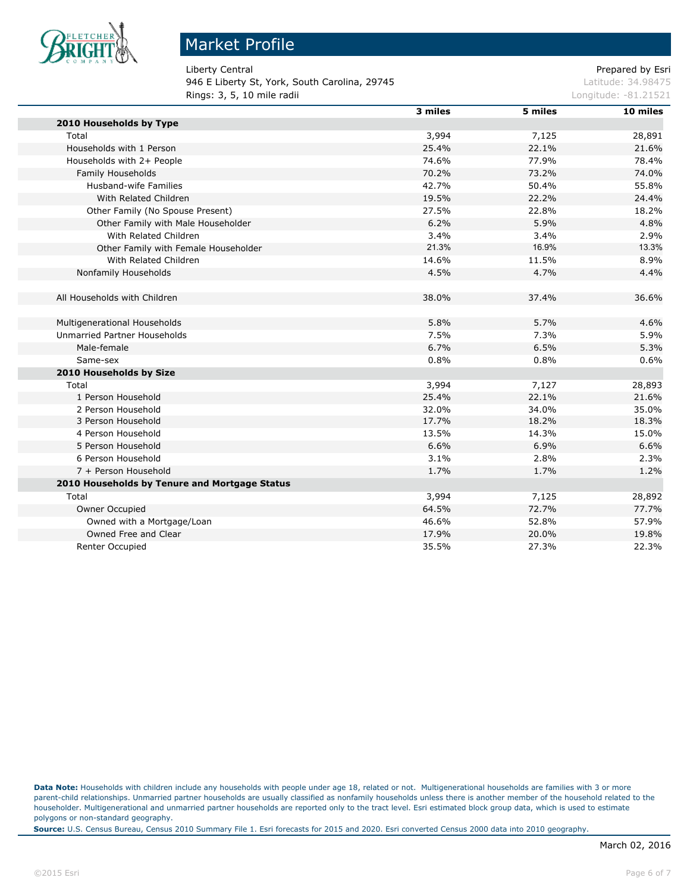

946 E Liberty St, York, South Carolina, 29745 Latitude: 34.98475 **Rings: 3, 5, 10 mile radii Longitude: -81.21521 Longitude: -81.21521** 

Liberty Central **Exercise 2** and 2 and 2 and 2 and 2 and 2 and 2 and 2 and 2 and 2 and 2 and 2 and 2 and 2 and 2 and 2 and 2 and 2 and 2 and 2 and 2 and 2 and 2 and 2 and 2 and 2 and 2 and 2 and 2 and 2 and 2 and 2 and 2 a

|                                               | 3 miles | 5 miles | 10 miles |
|-----------------------------------------------|---------|---------|----------|
| 2010 Households by Type                       |         |         |          |
| Total                                         | 3,994   | 7,125   | 28,891   |
| Households with 1 Person                      | 25.4%   | 22.1%   | 21.6%    |
| Households with 2+ People                     | 74.6%   | 77.9%   | 78.4%    |
| Family Households                             | 70.2%   | 73.2%   | 74.0%    |
| <b>Husband-wife Families</b>                  | 42.7%   | 50.4%   | 55.8%    |
| With Related Children                         | 19.5%   | 22.2%   | 24.4%    |
| Other Family (No Spouse Present)              | 27.5%   | 22.8%   | 18.2%    |
| Other Family with Male Householder            | 6.2%    | 5.9%    | 4.8%     |
| With Related Children                         | 3.4%    | 3.4%    | 2.9%     |
| Other Family with Female Householder          | 21.3%   | 16.9%   | 13.3%    |
| With Related Children                         | 14.6%   | 11.5%   | 8.9%     |
| Nonfamily Households                          | 4.5%    | 4.7%    | 4.4%     |
|                                               |         |         |          |
| All Households with Children                  | 38.0%   | 37.4%   | 36.6%    |
|                                               |         |         |          |
| Multigenerational Households                  | 5.8%    | 5.7%    | 4.6%     |
| Unmarried Partner Households                  | 7.5%    | 7.3%    | 5.9%     |
| Male-female                                   | 6.7%    | 6.5%    | 5.3%     |
| Same-sex                                      | 0.8%    | 0.8%    | 0.6%     |
| 2010 Households by Size                       |         |         |          |
| Total                                         | 3,994   | 7,127   | 28,893   |
| 1 Person Household                            | 25.4%   | 22.1%   | 21.6%    |
| 2 Person Household                            | 32.0%   | 34.0%   | 35.0%    |
| 3 Person Household                            | 17.7%   | 18.2%   | 18.3%    |
| 4 Person Household                            | 13.5%   | 14.3%   | 15.0%    |
| 5 Person Household                            | 6.6%    | 6.9%    | 6.6%     |
| 6 Person Household                            | 3.1%    | 2.8%    | 2.3%     |
| 7 + Person Household                          | 1.7%    | 1.7%    | 1.2%     |
| 2010 Households by Tenure and Mortgage Status |         |         |          |
| Total                                         | 3,994   | 7,125   | 28,892   |
| Owner Occupied                                | 64.5%   | 72.7%   | 77.7%    |
| Owned with a Mortgage/Loan                    | 46.6%   | 52.8%   | 57.9%    |
| Owned Free and Clear                          | 17.9%   | 20.0%   | 19.8%    |
| <b>Renter Occupied</b>                        | 35.5%   | 27.3%   | 22.3%    |

**Data Note:** Households with children include any households with people under age 18, related or not. Multigenerational households are families with 3 or more parent-child relationships. Unmarried partner households are usually classified as nonfamily households unless there is another member of the household related to the householder. Multigenerational and unmarried partner households are reported only to the tract level. Esri estimated block group data, which is used to estimate polygons or non-standard geography.

**Source:** U.S. Census Bureau, Census 2010 Summary File 1. Esri forecasts for 2015 and 2020. Esri converted Census 2000 data into 2010 geography.